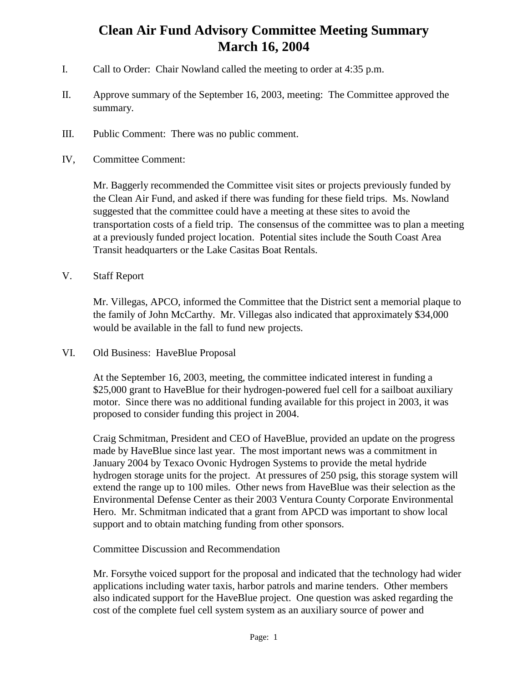## **Clean Air Fund Advisory Committee Meeting Summary March 16, 2004**

- I. Call to Order: Chair Nowland called the meeting to order at 4:35 p.m.
- II. Approve summary of the September 16, 2003, meeting: The Committee approved the summary.
- III. Public Comment: There was no public comment.
- IV, Committee Comment:

Mr. Baggerly recommended the Committee visit sites or projects previously funded by the Clean Air Fund, and asked if there was funding for these field trips. Ms. Nowland suggested that the committee could have a meeting at these sites to avoid the transportation costs of a field trip. The consensus of the committee was to plan a meeting at a previously funded project location. Potential sites include the South Coast Area Transit headquarters or the Lake Casitas Boat Rentals.

V. Staff Report

Mr. Villegas, APCO, informed the Committee that the District sent a memorial plaque to the family of John McCarthy. Mr. Villegas also indicated that approximately \$34,000 would be available in the fall to fund new projects.

VI. Old Business: HaveBlue Proposal

At the September 16, 2003, meeting, the committee indicated interest in funding a \$25,000 grant to HaveBlue for their hydrogen-powered fuel cell for a sailboat auxiliary motor. Since there was no additional funding available for this project in 2003, it was proposed to consider funding this project in 2004.

Craig Schmitman, President and CEO of HaveBlue, provided an update on the progress made by HaveBlue since last year. The most important news was a commitment in January 2004 by Texaco Ovonic Hydrogen Systems to provide the metal hydride hydrogen storage units for the project. At pressures of 250 psig, this storage system will extend the range up to 100 miles. Other news from HaveBlue was their selection as the Environmental Defense Center as their 2003 Ventura County Corporate Environmental Hero. Mr. Schmitman indicated that a grant from APCD was important to show local support and to obtain matching funding from other sponsors.

## Committee Discussion and Recommendation

Mr. Forsythe voiced support for the proposal and indicated that the technology had wider applications including water taxis, harbor patrols and marine tenders. Other members also indicated support for the HaveBlue project. One question was asked regarding the cost of the complete fuel cell system system as an auxiliary source of power and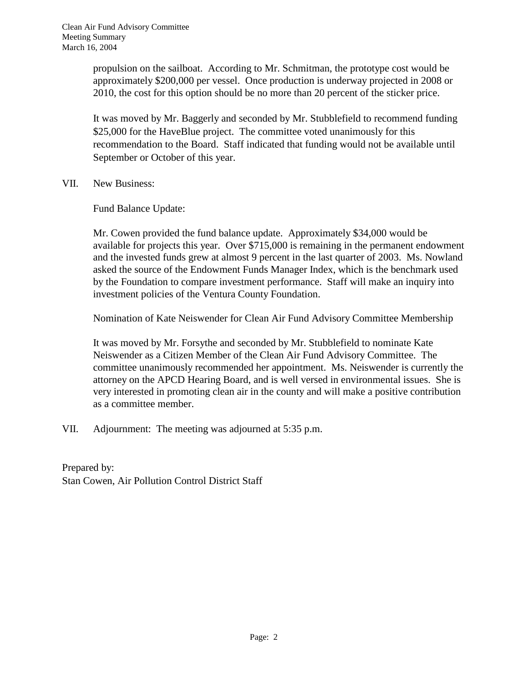propulsion on the sailboat. According to Mr. Schmitman, the prototype cost would be approximately \$200,000 per vessel. Once production is underway projected in 2008 or 2010, the cost for this option should be no more than 20 percent of the sticker price.

It was moved by Mr. Baggerly and seconded by Mr. Stubblefield to recommend funding \$25,000 for the HaveBlue project. The committee voted unanimously for this recommendation to the Board. Staff indicated that funding would not be available until September or October of this year.

VII. New Business:

Fund Balance Update:

Mr. Cowen provided the fund balance update. Approximately \$34,000 would be available for projects this year. Over \$715,000 is remaining in the permanent endowment and the invested funds grew at almost 9 percent in the last quarter of 2003. Ms. Nowland asked the source of the Endowment Funds Manager Index, which is the benchmark used by the Foundation to compare investment performance. Staff will make an inquiry into investment policies of the Ventura County Foundation.

Nomination of Kate Neiswender for Clean Air Fund Advisory Committee Membership

It was moved by Mr. Forsythe and seconded by Mr. Stubblefield to nominate Kate Neiswender as a Citizen Member of the Clean Air Fund Advisory Committee. The committee unanimously recommended her appointment. Ms. Neiswender is currently the attorney on the APCD Hearing Board, and is well versed in environmental issues. She is very interested in promoting clean air in the county and will make a positive contribution as a committee member.

VII. Adjournment: The meeting was adjourned at 5:35 p.m.

Prepared by: Stan Cowen, Air Pollution Control District Staff